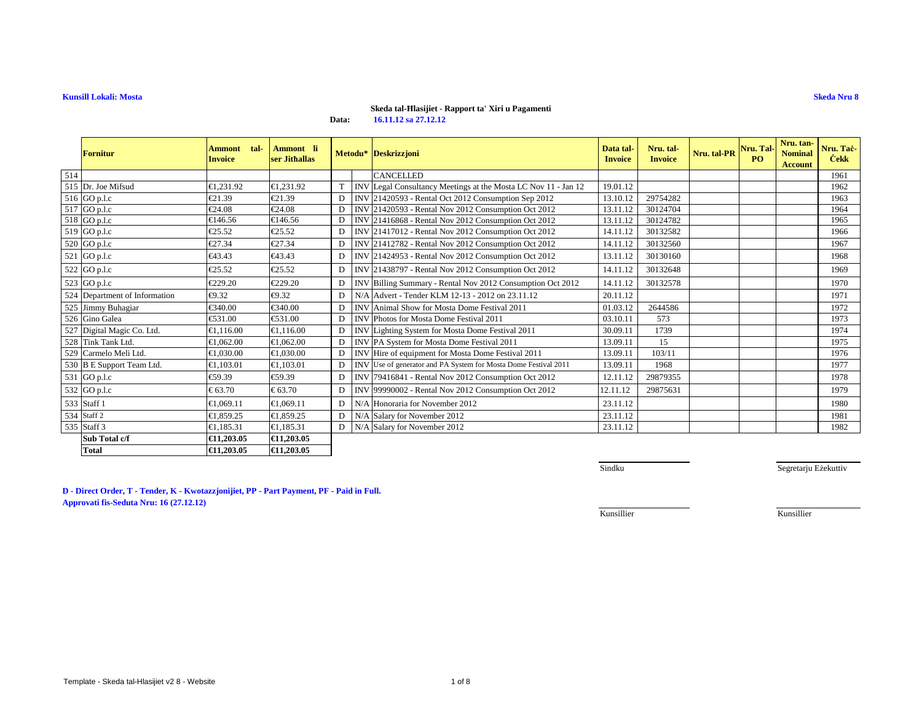# **Skeda tal-Ħlasijiet - Rapport ta' Xiri u Pagamenti**

**Data:16.11.12 sa 27.12.12**

|     | <b>Fornitur</b>               | tal-<br><b>Ammont</b><br><b>Invoice</b> | Ammont li<br>ser Jithallas |   |            | Metodu* Deskrizzjoni                                           | Data tal-<br><b>Invoice</b> | Nru. tal-<br><b>Invoice</b> | Nru. tal-PR | Nru. Tal-<br>PO | Nru. tan-<br><b>Nominal</b><br><b>Account</b> | Nru. Taċ-<br><b>Cekk</b> |
|-----|-------------------------------|-----------------------------------------|----------------------------|---|------------|----------------------------------------------------------------|-----------------------------|-----------------------------|-------------|-----------------|-----------------------------------------------|--------------------------|
| 514 |                               |                                         |                            |   |            | <b>CANCELLED</b>                                               |                             |                             |             |                 |                                               | 1961                     |
|     | 515 Dr. Joe Mifsud            | €1,231.92                               | €1,231.92                  | T |            | INV Legal Consulancy Meetings at the Mosta LC Nov 11 - Jan 12  | 19.01.12                    |                             |             |                 |                                               | 1962                     |
|     | 516 GO p.l.c                  | €21.39                                  | €21.39                     | D |            | INV 21420593 - Rental Oct 202 Consumption Sep 2012             | 13.10.12                    | 29754282                    |             |                 |                                               | 1963                     |
|     | 517 GO p.l.c                  | €24.08                                  | €24.08                     | D |            | INV 21420593 - Rental Nov 202 Consumption Oct 2012             | 13.11.12                    | 30124704                    |             |                 |                                               | 1964                     |
|     | 518 GO p.l.c                  | €146.56                                 | €146.5 $($                 | D |            | INV 21416868 - Rental Nov 2012 Consumption Oct 2012            | 13.11.12                    | 30124782                    |             |                 |                                               | 1965                     |
|     | 519 GO p.l.c                  | €25.52                                  | €25.52                     | D |            | INV 21417012 - Rental Nov 202 Consumption Oct 2012             | 14.11.12                    | 30132582                    |             |                 |                                               | 1966                     |
|     | 520 GO p.l.c                  | €27.34                                  | €27.34                     | D |            | INV 21412782 - Rental Nov 202 Consumption Oct 2012             | 14.11.12                    | 30132560                    |             |                 |                                               | 1967                     |
|     | 521 GO p.l.c                  | €43.43                                  | €43.43                     | D |            | INV 21424953 - Rental Nov 202 Consumption Oct 2012             | 13.11.12                    | 30130160                    |             |                 |                                               | 1968                     |
|     | 522 GO p.l.c                  | €25.52                                  | €25.52                     | D |            | INV 21438797 - Rental Nov 202 Consumption Oct 2012             | 14.11.12                    | 30132648                    |             |                 |                                               | 1969                     |
|     | 523 GO p.l.c                  | €229.20                                 | €229.20                    | D | <b>INV</b> | Billing Summary - Rendl Nov 2012 Consumption Oct 2012          | 14.11.12                    | 30132578                    |             |                 |                                               | 1970                     |
|     | 524 Department of Information | €9.32                                   | €9.32                      | D | N/A        | Advert Tender KLM 12-13 - 2012 on 23.11.12                     | 20.11.12                    |                             |             |                 |                                               | 1971                     |
|     | 525 Jimmy Buhagiar            | €340.00                                 | €340.00                    | D | <b>INV</b> | Animal Show for Mosta Dome Festival 2011                       | 01.03.12                    | 2644586                     |             |                 |                                               | 1972                     |
|     | 526 Gino Galea                | €531.00                                 | €531.00                    | D | <b>INV</b> | Photos for Mosta Dom Festival 2011                             | 03.10.11                    | 573                         |             |                 |                                               | 1973                     |
|     | 527 Digital Magic Co. Ltd.    | €1.116.00                               | €1.116.00                  | D | <b>INV</b> | Lighing System for Mosta Dome Festival 2011                    | 30.09.11                    | 1739                        |             |                 |                                               | 1974                     |
|     | 528 Tink Tank Ltd.            | €1,062.00                               | €1,062.00                  | D | <b>INV</b> | PA System fo Mosta Dome Festival 2011                          | 13.09.11                    | 15                          |             |                 |                                               | 1975                     |
|     | 529 Carmelo Meli Ltd.         | €1,030.00                               | €1.030.00                  | D | <b>INV</b> | Hire of quipment for Mosta Dome Festival 2011                  | 13.09.11                    | 103/11                      |             |                 |                                               | 1976                     |
|     | 530 B E Support Team Ltd.     | €1,103.01                               | €1,103.01                  | D |            | INVUse of generator and PA System for Mosta Dome Festival 2011 | 13.09.11                    | 1968                        |             |                 |                                               | 1977                     |
|     | 531 GO p.l.c                  | €59.39                                  | €59.39                     | D | <b>INV</b> | 79416841 - Rental Nov 202 Consumption Oct 2012                 | 12.11.12                    | 29879355                    |             |                 |                                               | 1978                     |
|     | 532 GO p.l.c                  | € 63.70                                 | € 63.70                    | D | <b>INV</b> | 99990002 - Rental Nov2012 Consumption Oct 2012                 | 12.11.12                    | 29875631                    |             |                 |                                               | 1979                     |
|     | 533 Staff 1                   | €1.069.11                               | €1.069.11                  | D | N/A        | Honoraria for November 2012                                    | 23.11.12                    |                             |             |                 |                                               | 1980                     |
|     | 534 Staff 2                   | €1.859.25                               | €1.859.25                  | D | N/A        | Salary for November 2012                                       | 23.11.12                    |                             |             |                 |                                               | 1981                     |
|     | 535 Staff 3                   | €1.185.31                               | €1,185.31                  | D | N/A        | Salary for November2012                                        | 23.11.12                    |                             |             |                 |                                               | 1982                     |
|     | Sub Total c/f                 | €11.203.05                              | €11,203.05                 |   |            |                                                                |                             |                             |             |                 |                                               |                          |
|     | <b>Total</b>                  | €11,203.05                              | €11,203.05                 |   |            |                                                                |                             |                             |             |                 |                                               |                          |

Sindku

Segretarju Eżekuttiv

**D - Direct Order, T - Tender, K - Kwotazzjonijiet, PP - Part Payment, PF - Paid in Full. Approvati fis-Seduta Nru: 16 (27.12.12)**

Kunsillier

Kunsillier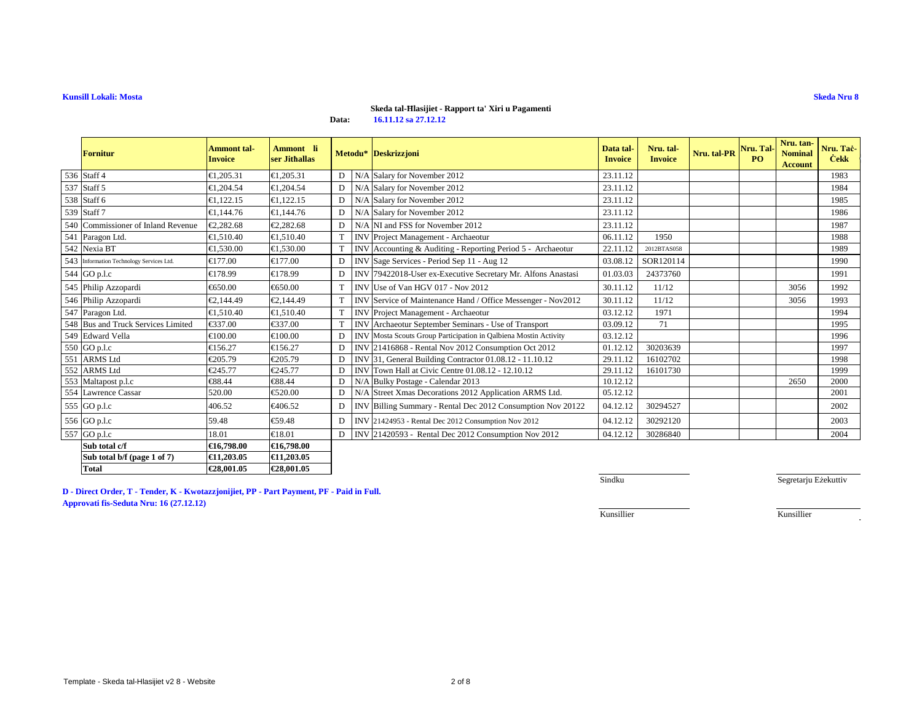# **Skeda tal-Ħlasijiet - Rapport ta' Xiri u Pagamenti**

**Data:16.11.12 sa 27.12.12**

| Fornitur                                 | <b>Ammont</b> tal-<br><b>Invoice</b> | Ammont li<br>ser Jithallas |   |            | Metodu* Deskrizzjoni                                             | Data tal-<br><b>Invoice</b> | Nru. tal-<br><b>Invoice</b> | Nru. tal-PR | Nru. Tal-<br>P <sub>O</sub> | Nru. tan-<br><b>Nominal</b><br><b>Account</b> | Nru. Taċ-<br><b>Cekk</b> |
|------------------------------------------|--------------------------------------|----------------------------|---|------------|------------------------------------------------------------------|-----------------------------|-----------------------------|-------------|-----------------------------|-----------------------------------------------|--------------------------|
| 536 Staff 4                              | €1,205.31                            | €1,205.31                  | D | N/A        | Salary for November2012                                          | 23.11.12                    |                             |             |                             |                                               | 1983                     |
| 537 Staff 5                              | €1,204.54                            | €1,204.54                  | D | N/A        | Salary for November2012                                          | 23.11.12                    |                             |             |                             |                                               | 1984                     |
| 538 Staff 6                              | €1,122.15                            | €1,122.15                  | D | N/A        | Salary for November2012                                          | 23.11.12                    |                             |             |                             |                                               | 1985                     |
| 539 Staff 7                              | €1,144.76                            | €1,144.76                  | D | N/A        | Salary for November2012                                          | 23.11.12                    |                             |             |                             |                                               | 1986                     |
| 540 Commissioner of Inland Revenue       | €2.282.68                            | €2.282.68                  | D |            | N/A NI and FSS for November 2012                                 | 23.11.12                    |                             |             |                             |                                               | 1987                     |
| 541 Paragon Ltd.                         | €1.510.40                            | €1.510.40                  | T | <b>INV</b> | Project Managment - Archaeotur                                   | 06.11.12                    | 1950                        |             |                             |                                               | 1988                     |
| 542 Nexia BT                             | €1,530.00                            | €1,530.00                  | T | <b>INV</b> | Accounting & Auditing - Reporting Period 5 - Archaeotur          | 22.11.12                    | 2012BTAS058                 |             |                             |                                               | 1989                     |
| 543 Information Technology Services Ltd. | €177.00                              | €177.00                    | D | <b>INV</b> | Sage Services - Period Sep 11 - Aug 12                           | 03.08.12                    | SOR120114                   |             |                             |                                               | 1990                     |
| 544 GO p.l.c                             | €178.99                              | €178.99                    | D | <b>INV</b> | 79422018-User ex-Exective Secretary Mr. Alfons Anastasi          | 01.03.03                    | 24373760                    |             |                             |                                               | 1991                     |
| 545 Philip Azzopardi                     | €650.00                              | €650.00                    | T | <b>INV</b> | Use of Van HGW17 - Nov 2012                                      | 30.11.12                    | 11/12                       |             |                             | 3056                                          | 1992                     |
| 546 Philip Azzopardi                     | €2,144.49                            | €2,144.49                  | T | <b>INV</b> | Service of Maintenance Hand / Office Messenger - Nov2012         | 30.11.12                    | 11/12                       |             |                             | 3056                                          | 1993                     |
| 547 Paragon Ltd.                         | €1.510.40                            | €1.510.40                  | T | <b>INV</b> | Project Managment - Archaeotur                                   | 03.12.12                    | 1971                        |             |                             |                                               | 1994                     |
| 548 Bus and Truck Services Limited       | €337.00                              | €337.00                    | T |            | <b>INVArchaeotur September Seminars - Use of Transport</b>       | 03.09.12                    | 71                          |             |                             |                                               | 1995                     |
| 549 Edward Vella                         | €100.00                              | €100.00                    | D |            | INV Mosta Scouts Group Participation in Qalbiena Mostin Activity | 03.12.12                    |                             |             |                             |                                               | 1996                     |
| 550 GO p.l.c                             | €156.27                              | €156.27                    | D |            | INV 21416868 - Rental Nov2012 Consumption Oct 2012               | 01.12.12                    | 30203639                    |             |                             |                                               | 1997                     |
| 551 ARMS Ltd                             | €205.79                              | €205.79                    | D | <b>INV</b> | 31, General Building Contractor 01.08.12 - 11.10.12              | 29.11.12                    | 16102702                    |             |                             |                                               | 1998                     |
| 552 ARMS Ltd                             | €245.77                              | €245.77                    | D | <b>INV</b> | Town Hall at Civic Cetre 01.08.12 - 12.10.12                     | 29.11.12                    | 16101730                    |             |                             |                                               | 1999                     |
| 553 Maltapost p.l.c                      | €88.44                               | €88.44                     | D | N/A        | Bulky Postage - Glendar 2013                                     | 10.12.12                    |                             |             |                             | 2650                                          | 2000                     |
| 554 Lawrence Cassar                      | 520.00                               | €520.00                    | D |            | N/A Street Xmas Decorations 2012 Application ARMS Ltd.           | 05.12.12                    |                             |             |                             |                                               | 2001                     |
| 555 GO p.l.c                             | 406.52                               | €406.52                    | D |            | INV Billing Summary - Renta Dec 2012 Consumption Nov 20122       | 04.12.12                    | 30294527                    |             |                             |                                               | 2002                     |
| 556 GO p.l.c                             | 59.48                                | €59.48                     | D |            | INV 21424953 - Rental Dec 2012 Consumption Nov 2012              | 04.12.12                    | 30292120                    |             |                             |                                               | 2003                     |
| 557 GO p.l.c                             | 18.01                                | €18.01                     | D |            | INV 21420593 - Rental Dec 2012 Consumption Nov 2012              | 04.12.12                    | 30286840                    |             |                             |                                               | 2004                     |
| Sub total c/f                            | €16,798.00                           | €16,798.00                 |   |            |                                                                  |                             |                             |             |                             |                                               |                          |
| Sub total b/f (page 1 of 7)              | €11.203.05                           | €11,203.05                 |   |            |                                                                  |                             |                             |             |                             |                                               |                          |
| <b>Total</b>                             | €28,001.05                           | €28,001.05                 |   |            |                                                                  |                             |                             |             |                             |                                               |                          |

**D - Direct Order, T - Tender, K - Kwotazzjonijiet, PP - Part Payment, PF - Paid in Full. Approvati fis-Seduta Nru: 16 (27.12.12)**

Sindku

Segretarju Eżekuttiv

÷.

Kunsillier

Kunsillier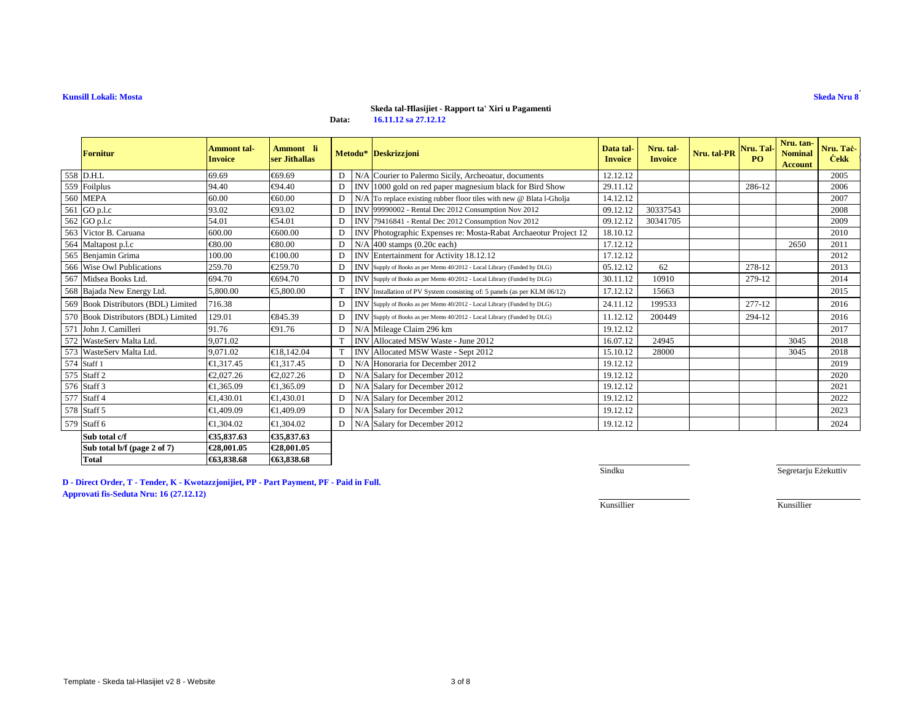# **Skeda tal-Ħlasijiet - Rapport ta' Xiri u Pagamenti**

**Data:16.11.12 sa 27.12.12**

| Fornitur                            | <b>Ammont</b> tal-<br><b>Invoice</b> | Ammont li<br>ser Jithallas |   |     | Metodu* Deskrizzjoni                                                     | Data tal-<br><b>Invoice</b> | Nru. tal-<br><b>Invoice</b> | Nru. tal-PR | Nru. Tal-<br>PO | Nru. tan-<br><b>Nominal</b><br><b>Account</b> | Nru. Taċ-<br><b>Cekk</b> |
|-------------------------------------|--------------------------------------|----------------------------|---|-----|--------------------------------------------------------------------------|-----------------------------|-----------------------------|-------------|-----------------|-----------------------------------------------|--------------------------|
| 558 D.H.L                           | 69.69                                | €69.69                     | D |     | N/A Courier to Palermo Sicily, Archeoatur, documents                     | 12.12.12                    |                             |             |                 |                                               | 2005                     |
| 559 Foilplus                        | 94.40                                | €94.40                     | D |     | INV 1000 gold on red paper magnesium black for Bird Show                 | 29.11.12                    |                             |             | 286-12          |                                               | 2006                     |
| <b>560 MEPA</b>                     | 60.00                                | €60.00                     | D |     | $N/A$ To replace existing rubber floor tiles with new @ Blata l-Gholja   | 14.12.12                    |                             |             |                 |                                               | 2007                     |
| 561 GO p.l.c                        | 93.02                                | €93.02                     | D |     | INV 99990002 - Rental Dec 2012 Consumption Nov 2012                      | 09.12.12                    | 30337543                    |             |                 |                                               | 2008                     |
| 562 GO p.l.c                        | 54.01                                | €54.01                     | D |     | INV 79416841 - Rental Dec 2012 Consumption Nov 2012                      | 09.12.12                    | 30341705                    |             |                 |                                               | 2009                     |
| 563 Victor B. Caruana               | 600.00                               | €600.00                    | D |     | INV Photographic Expenses re: Mosta-Rabat Archaeotur Project 12          | 18.10.12                    |                             |             |                 |                                               | 2010                     |
| 564 Maltapost p.l.c                 | €80.00                               | €80.00                     | D | N/A | 400 stamps (0.20 cach)                                                   | 17.12.12                    |                             |             |                 | 2650                                          | 2011                     |
| 565 Benjamin Grima                  | 100.00                               | €100.00                    | D |     | INV Entertainment for Activity 18.12.12                                  | 17.12.12                    |                             |             |                 |                                               | 2012                     |
| 566 Wise Owl Publications           | 259.70                               | €259.70                    | D |     | INV Supply of Books as per Memo 40/2012 - Local Library (Funded by DLG)  | 05.12.12                    | 62                          |             | 278-12          |                                               | 2013                     |
| 567 Midsea Books Ltd.               | 694.70                               | €694.70                    | D |     | INV Supply of Books as per Memo 40/2012 - Local Library (Funded by DLG)  | 30.11.12                    | 10910                       |             | 279-12          |                                               | 2014                     |
| 568 Bajada New Energy Ltd.          | 5,800.00                             | €5,800.00                  | T |     | INV Installation of PV System consisting of: 5 panels (as per KLM 06/12) | 17.12.12                    | 15663                       |             |                 |                                               | 2015                     |
| 569 Book Distributors (BDL) Limited | 716.38                               |                            | D |     | INV Supply of Books as per Memo 40/2012 - Local Library (Funded by DLG)  | 24.11.12                    | 199533                      |             | 277-12          |                                               | 2016                     |
| 570 Book Distributors (BDL) Limited | 129.01                               | €845.39                    | D |     | INV Supply of Books as per Memo 40/2012 - Local Library (Funded by DLG)  | 11.12.12                    | 200449                      |             | 294-12          |                                               | 2016                     |
| 571 John J. Camilleri               | 91.76                                | €91.76                     | D |     | N/A Mileage Claim 296 km                                                 | 19.12.12                    |                             |             |                 |                                               | 2017                     |
| 572 WasteServ Malta Ltd.            | 9.071.02                             |                            | T |     | INV Allocated MSW Waste - June 2012                                      | 16.07.12                    | 24945                       |             |                 | 3045                                          | 2018                     |
| 573 WasteServ Malta Ltd.            | 9.071.02                             | €18,142.04                 | T |     | INV Allocated MSW Waste - Sept 2012                                      | 15.10.12                    | 28000                       |             |                 | 3045                                          | 2018                     |
| 574 Staff 1                         | €1.317.45                            | €1,317.45                  | D | N/A | Honoraria for December 2012                                              | 1912.12                     |                             |             |                 |                                               | 2019                     |
| 575 Staff 2                         | €2,027,26                            | €2.027.26                  | D | N/A | Salary for December2012                                                  | 19.12.12                    |                             |             |                 |                                               | 2020                     |
| 576 Staff 3                         | €1.365.09                            | €1.365.09                  | D | N/A | Salary for December2012                                                  | 19.12.12                    |                             |             |                 |                                               | 2021                     |
| 577 Staff 4                         | €1.430.01                            | €1.430.01                  | D | N/A | Salary for December2012                                                  | 19.12.12                    |                             |             |                 |                                               | 2022                     |
| 578 Staff 5                         | €1.409.09                            | €1.409.09                  | D | N/A | Salary for December2012                                                  | 19.12.12                    |                             |             |                 |                                               | 2023                     |
| 579 Staff 6                         | €1,304.02                            | €1,304.02                  | D | N/A | Salary for December2012                                                  | 19.12.12                    |                             |             |                 |                                               | 2024                     |
| Sub total c/f                       | €35,837.63                           | €35,837.63                 |   |     |                                                                          |                             |                             |             |                 |                                               |                          |
| Sub total b/f (page 2 of 7)         | €28,001.05                           | €28,001.05                 |   |     |                                                                          |                             |                             |             |                 |                                               |                          |
| <b>Total</b>                        | €63,838.68                           | €63,838.68                 |   |     |                                                                          |                             |                             |             |                 |                                               |                          |

**D - Direct Order, T - Tender, K - Kwotazzjonijiet, PP - Part Payment, PF - Paid in Full.Approvati fis-Seduta Nru: 16 (27.12.12)**

Sindku

Segretarju Eżekuttiv

Kunsillier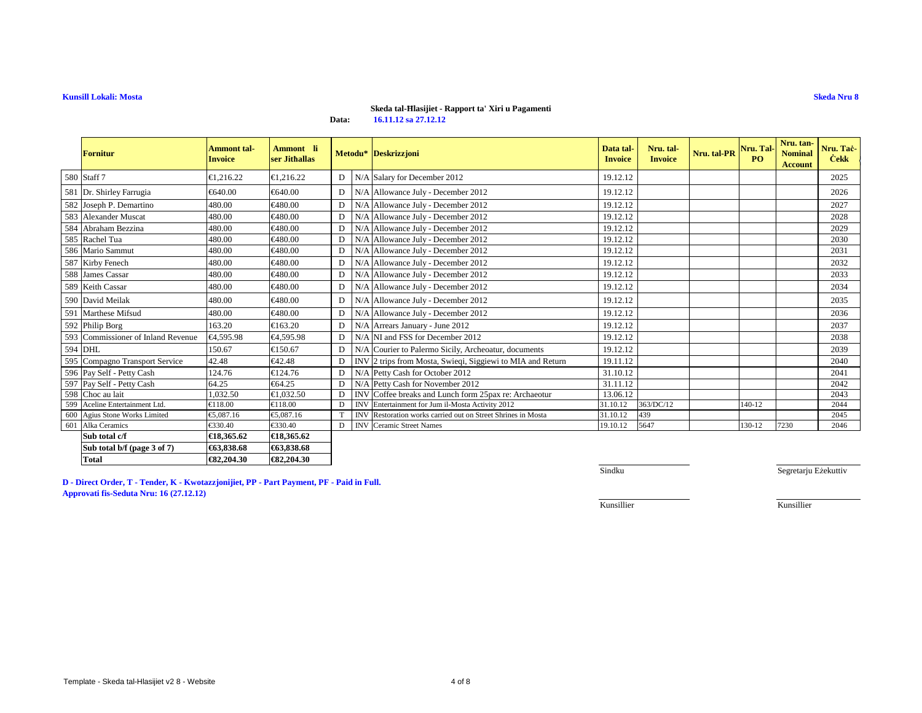#### **Skeda tal-Ħlasijiet - Rapport ta' Xiri u Pagamenti**

**Data:16.11.12 sa 27.12.12**

| <b>Fornitur</b>                    | <b>Ammont tal-</b><br><b>Invoice</b> | Ammont li<br>ser Jithallas      |              |            | Metodu* Deskrizzjoni                                      | Data tal-<br><b>Invoice</b> | Nru. tal-<br><b>Invoice</b> | Nru. tal-PR | Nru. Tal-<br>P <sub>O</sub> | Nru. tan-<br><b>Nominal</b><br><b>Account</b> | Nru. Tač-<br><b>Cekk</b> |
|------------------------------------|--------------------------------------|---------------------------------|--------------|------------|-----------------------------------------------------------|-----------------------------|-----------------------------|-------------|-----------------------------|-----------------------------------------------|--------------------------|
| 580 Staff 7                        | €1.216.22                            | €1.216.22                       | DΙ           | N/A        | Salary for December2012                                   | 19.12.12                    |                             |             |                             |                                               | 2025                     |
| 581 Dr. Shirley Farrugia           | €640.00                              | €640.00                         | $\mathbf{D}$ | N/A        | AllowanceJuly - December 2012                             | 19.12.12                    |                             |             |                             |                                               | 2026                     |
| 582 Joseph P. Demartino            | 480.00                               | €480.00                         | D            |            | N/A Allowance July - December 2012                        | 19.12.12                    |                             |             |                             |                                               | 2027                     |
| 583 Alexander Muscat               | 480.00                               | €480.00                         | D            |            | N/A Allowance July-December 2012                          | 19.12.12                    |                             |             |                             |                                               | 2028                     |
| 584 Abraham Bezzina                | 480.00                               | €480.00                         | D            |            | N/A Allowance July -December 2012                         | 19.12.12                    |                             |             |                             |                                               | 2029                     |
| 585 Rachel Tua                     | 480.00                               | €480.00                         | D            |            | N/A Allowance July - December 2012                        | 19.12.12                    |                             |             |                             |                                               | 2030                     |
| 586 Mario Sammut                   | 480.00                               | €480.00                         | D            |            | N/A Allowance July - December 2012                        | 19.12.12                    |                             |             |                             |                                               | 2031                     |
| 587 Kirby Fenech                   | 480.00                               | $\textnormal{\textbf{E}}480.00$ | D            |            | N/A Allowance July - December 2012                        | 19.12.12                    |                             |             |                             |                                               | 2032                     |
| 588 James Cassar                   | 480.00                               | €480.00                         | D            |            | N/A Allowance July - December 2012                        | 19.12.12                    |                             |             |                             |                                               | 2033                     |
| 589 Keith Cassar                   | 480.00                               | €480.00                         | D            |            | N/A Allowance July - December 2012                        | 19.12.12                    |                             |             |                             |                                               | 2034                     |
| 590 David Meilak                   | 480.00                               | €480.00                         | D            |            | N/A Allowance July - December 2012                        | 19.12.12                    |                             |             |                             |                                               | 2035                     |
| 591 Marthese Mifsud                | 480.00                               | €480.00                         | D            |            | N/A Allowance July -December 2012                         | 19.12.12                    |                             |             |                             |                                               | 2036                     |
| 592 Philip Borg                    | 163.20                               | €163.20                         | D            |            | N/A Arrears January - June 2012                           | 19.12.12                    |                             |             |                             |                                               | 2037                     |
| 593 Commissioner of Inland Revenue | €4,595.98                            | €4,595.98                       | D            |            | N/A NI and FSS for December 2012                          | 19.12.12                    |                             |             |                             |                                               | 2038                     |
| 594 DHL                            | 150.67                               | €150.67                         | D            |            | N/A Courier to Palermo Sicily, Archeoatur, documents      | 19.12.12                    |                             |             |                             |                                               | 2039                     |
| 595 Compagno Transport Service     | 42.48                                | €42.48                          | D            |            | INV 2 tripsfrom Mosta, Swieqi, Siggiewi to MIA and Return | 19.11.12                    |                             |             |                             |                                               | 2040                     |
| 596 Pay Self - Petty Cash          | 124.76                               | €124.76                         | D            |            | N/A Petty Cashfor October 2012                            | 31.10.12                    |                             |             |                             |                                               | 2041                     |
| 597 Pay Self - Petty Cash          | 64.25                                | €64.25                          | D            |            | N/A Petty Cash for November 2012                          | 31.11.12                    |                             |             |                             |                                               | 2042                     |
| 598 Choc au lait                   | 1,032.50                             | €1,032.50                       | D            |            | INV Coffee breaks and Lunch form 25pax re: Archaeotur     | 13.06.12                    |                             |             |                             |                                               | 2043                     |
| 599 Aceline Entertainment Ltd.     | €118.00                              | €118.00                         | D            | <b>INV</b> | Entetainment for Jum il-Mosta Activity 2012               | 31.10.12                    | 363/DC/12                   |             | 140-12                      |                                               | 2044                     |
| 600 Agius Stone Works Limited      | €5,087.16                            | €5,087.16                       | T            | <b>INV</b> | Restoration works carried out on Street Shrines in Mosta  | 31.10.12                    | 439                         |             |                             |                                               | 2045                     |
| 601 Alka Ceramics                  | €330.40                              | €330.40                         | D            | <b>INV</b> | <b>Ceramic Street Nmes</b>                                | 19.10.12                    | 5647                        |             | 130-12                      | 7230                                          | 2046                     |
| Sub total c/f                      | €18,365.62                           | €18,365.62                      |              |            |                                                           |                             |                             |             |                             |                                               |                          |
| Sub total b/f (page 3 of 7)        | €63,838.68                           | €63,838.68                      |              |            |                                                           |                             |                             |             |                             |                                               |                          |
| <b>Total</b>                       | €82,204.30                           | €82,204.30                      |              |            |                                                           |                             |                             |             |                             |                                               |                          |

**D - Direct Order, T - Tender, K - Kwotazzjonijiet, PP - Part Payment, PF - Paid in Full.Approvati fis-Seduta Nru: 16 (27.12.12)**

Sindku

Segretarju Eżekuttiv

Kunsillier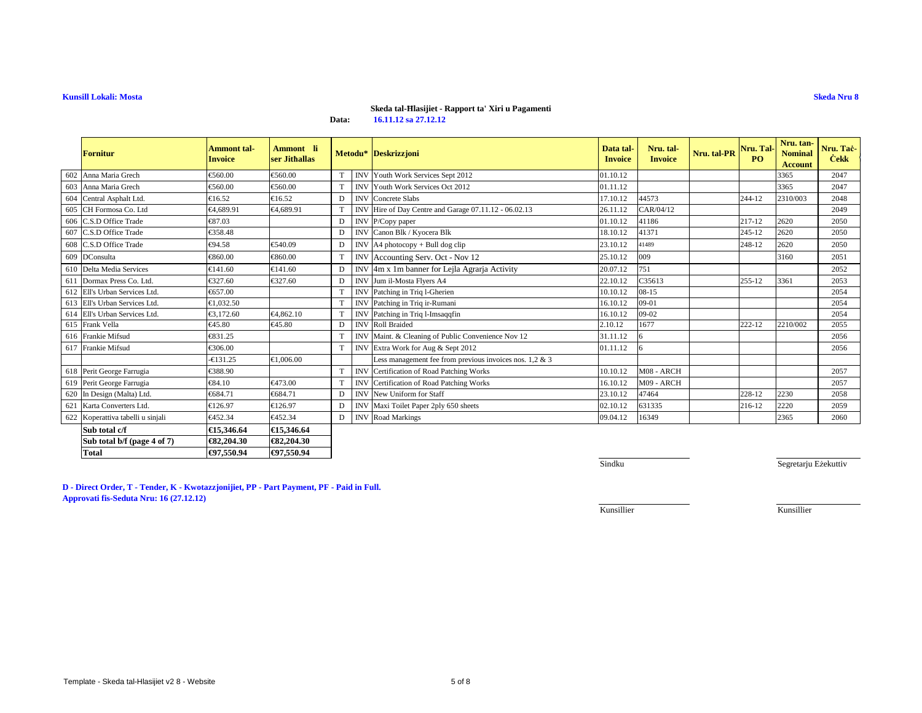# **Skeda tal-Ħlasijiet - Rapport ta' Xiri u Pagamenti**

**Data:16.11.12 sa 27.12.12**

|     | <b>Fornitur</b>                   | Ammont tal-<br><b>Invoice</b> | Ammont li<br>ser Jithallas |   |            | Metodu* Deskrizzjoni                                       | Data tal-<br><b>Invoice</b> | Nru. tal-<br><b>Invoice</b> | Nru. tal-PR | Nru. Tal-<br>P <sub>O</sub> | Nru. tan-<br><b>Nominal</b><br><b>Account</b> | Nru. Taċ-<br><b>Cekk</b> |
|-----|-----------------------------------|-------------------------------|----------------------------|---|------------|------------------------------------------------------------|-----------------------------|-----------------------------|-------------|-----------------------------|-----------------------------------------------|--------------------------|
|     | 602 Anna Maria Grech              | €560.00                       | €560.00                    | T | <b>INV</b> | Youth Work Sevices Sept 2012                               | 01.10.12                    |                             |             |                             | 3365                                          | 2047                     |
| 603 | Anna Maria Grech                  | €560.00                       | €560.00                    | T | <b>INV</b> | Youth Work Serices Oct 2012                                | 01.11.12                    |                             |             |                             | 3365                                          | 2047                     |
|     | 604 Central Asphalt Ltd.          | €16.52                        | €16.52                     | D | <b>INV</b> | Concrete Slbs                                              | 17.10.12                    | 44573                       |             | 244-12                      | 2310/003                                      | 2048                     |
|     | 605 CH Formosa Co. Ltd            | €4.689.91                     | €4,689.91                  | T |            | INV Hire of Day Centre and Garage 07.11.12 - 06.02.13      | 26.11.12                    | CAR/04/12                   |             |                             |                                               | 2049                     |
|     | 606 C.S.D Office Trade            | €87.03                        |                            | D |            | INV P/Copy paper                                           | 01.10.12                    | 41186                       |             | 217-12                      | 2620                                          | 2050                     |
|     | 607 C.S.D Office Trade            | €358.48                       |                            | D |            | INV Canon Blk / KyoceraBlk                                 | 18.10.12                    | 41371                       |             | 245-12                      | 2620                                          | 2050                     |
|     | 608 C.S.D Office Trade            | €94.58                        | €540.09                    | D |            | INV A4 photocopy+ Bull dog clip                            | 23.10.12                    | 41489                       |             | 248-12                      | 2620                                          | 2050                     |
|     | 609 DConsulta                     | €860.00                       | €860.00                    | T |            | INV Accounting Serv. Oct - Nov 12                          | 25.10.12                    | 009                         |             |                             | 3160                                          | 2051                     |
|     | 610 Delta Media Services          | €141.60                       | €141.60                    | D |            | INV4m x 1m banner for Lejla Agrarja Activity               | 20.07.12                    | 751                         |             |                             |                                               | 2052                     |
|     | 611 Dormax Press Co. Ltd.         | €327.60                       | €327.60                    | D |            | INV Jum il-Mota Flvers A4                                  | 22.10.12                    | C35613                      |             | 255-12                      | 3361                                          | 2053                     |
|     | 612 Ell's Urban Services Ltd.     | €657.00                       |                            | T |            | INV Patching inTriq l-Gherien                              | 10.10.12                    | $08 - 15$                   |             |                             |                                               | 2054                     |
|     | 613 Ell's Urban Services Ltd.     | €1.032.50                     |                            | T |            | INV Patching in Triq ir-Rumani                             | 16.10.12                    | $09-01$                     |             |                             |                                               | 2054                     |
|     | 614 Ell's Urban Services Ltd.     | €3.172.60                     | €4,862.10                  | T | <b>INV</b> | <b>Rtching in Triq l-Imsaqqfin</b>                         | 16.10.12                    | 09-02                       |             |                             |                                               | 2054                     |
|     | 615 Frank Vella                   | €45.80                        | €45.80                     | D | <b>INV</b> | <b>Roll Braided</b>                                        | 2.10.12                     | 1677                        |             | 222-12                      | 2210/002                                      | 2055                     |
|     | 616 Frankie Mifsud                | €831.25                       |                            | T |            | INV Maint. & Cleaning of Public Convenience Nov 12         | 31.11.12                    |                             |             |                             |                                               | 2056                     |
|     | 617 Frankie Mifsud                | €306.00                       |                            | T |            | INV Extra Work for Aug & Sept 2012                         | 01.11.12                    |                             |             |                             |                                               | 2056                     |
|     |                                   | $-6131.25$                    | €1,006.00                  |   |            | Less management fee from previous invoices nos. 1,2 $\&$ 3 |                             |                             |             |                             |                                               |                          |
|     | 618 Perit George Farrugia         | €388.90                       |                            | T |            | INV Certification of Road Patching Works                   | 10.10.12                    | M08 - ARCH                  |             |                             |                                               | 2057                     |
|     | 619 Perit George Farrugia         | €84.10                        | €473.00                    | T | <b>INV</b> | Certificaton of Road Patching Works                        | 16.10.12                    | M09 - ARCH                  |             |                             |                                               | 2057                     |
|     | 620 In Design (Malta) Ltd.        | €684.71                       | €684.71                    | D | <b>INV</b> | New Uniform for Staff                                      | 23.10.12                    | 47464                       |             | 228-12                      | 2230                                          | 2058                     |
|     | 621 Karta Converters Ltd.         | €126.97                       | €126.97                    | D | <b>INV</b> | Maxi Toilt Paper 2ply 650 sheets                           | 02.10.12                    | 631335                      |             | 216-12                      | 2220                                          | 2059                     |
|     | 622 Koperattiva tabelli u sinjali | €452.34                       | €452.34                    | D |            | <b>INV</b> Read Markings                                   | 09.04.12                    | 16349                       |             |                             | 2365                                          | 2060                     |
|     | Sub total c/f                     | €15,346.64                    | €15,346.64                 |   |            |                                                            |                             |                             |             |                             |                                               |                          |
|     | Sub total b/f (page 4 of 7)       | €82,204.30                    | €82,204.30                 |   |            |                                                            |                             |                             |             |                             |                                               |                          |

**Sindku** 

Segretarju Eżekuttiv

**D - Direct Order, T - Tender, K - Kwotazzjonijiet, PP - Part Payment, PF - Paid in Full. Approvati fis-Seduta Nru: 16 (27.12.12)**

**Total €97,550.94 €97,550.94**

€97,550.94

Kunsillier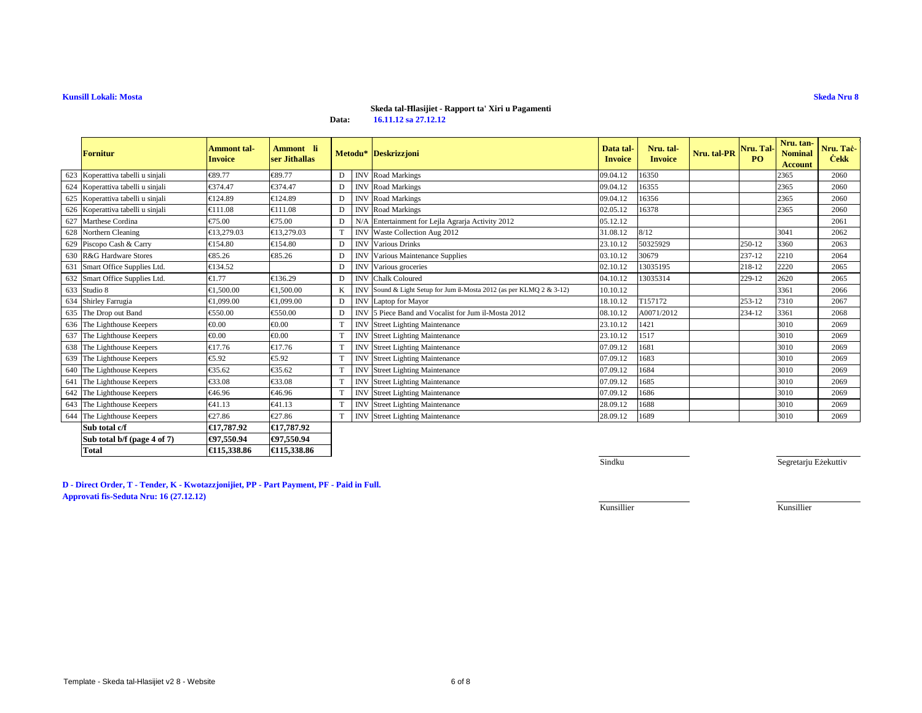# **Skeda tal-Ħlasijiet - Rapport ta' Xiri u Pagamenti**

**Data:16.11.12 sa 27.12.12**

|     | Fornitur                          | Ammont tal-<br><b>Invoice</b> | Ammont li<br>ser Jithallas |   |            | Metodu* Deskrizzjoni                                                 | Data tal<br><b>Invoice</b> | Nru. tal-<br><b>Invoice</b> | Nru. tal-PR | Nru. Tal-<br>PO. | Nru. tan-<br><b>Nominal</b><br><b>Account</b> | Nru. Taċ-<br><b>Cekk</b> |
|-----|-----------------------------------|-------------------------------|----------------------------|---|------------|----------------------------------------------------------------------|----------------------------|-----------------------------|-------------|------------------|-----------------------------------------------|--------------------------|
|     | 623 Koperattiva tabelli u sinjali | €89.77                        | €89.77                     | D | <b>INV</b> | <b>Rod Markings</b>                                                  | 09.04.12                   | 16350                       |             |                  | 2365                                          | 2060                     |
|     | 624 Koperattiva tabelli u sinjali | €374.47                       | €374.47                    | D | <b>INV</b> | <b>Rad Markings</b>                                                  | 09.04.12                   | 16355                       |             |                  | 2365                                          | 2060                     |
|     | 625 Koperattiva tabelli u sinjali | €124.89                       | €124.89                    | D | <b>INV</b> | <b>Rad Markings</b>                                                  | 09.04.12                   | 16356                       |             |                  | 2365                                          | 2060                     |
|     | 626 Koperattiva tabelli u sinjali | €111.08                       | €111.08                    | D | <b>INV</b> | <b>Rad Markings</b>                                                  | 02.05.12                   | 16378                       |             |                  | 2365                                          | 2060                     |
| 627 | Marthese Cordina                  | €75.00                        | €75.00                     | D | N/A        | Entertainment fo Lejla Agrarja Activity 2012                         | 05.12.12                   |                             |             |                  |                                               | 2061                     |
| 628 | Northern Cleaning                 | €13,279.03                    | €13,279.03                 | T | <b>INV</b> | Waste Gllection Aug 2012                                             | 31.08.12                   | 8/12                        |             |                  | 3041                                          | 2062                     |
|     | 629 Piscopo Cash & Carry          | €154.80                       | €154.80                    | D | <b>INV</b> | Various Dinks                                                        | 23.10.12                   | 50325929                    |             | 250-12           | 3360                                          | 2063                     |
| 630 | R&G Hardware Stores               | €85.26                        | €85.26                     | D | <b>INV</b> | Various Maintnance Supplies                                          | 03.10.12                   | 30679                       |             | 237-12           | 2210                                          | 2064                     |
|     | 631 Smart Office Supplies Ltd.    | €134.52                       |                            | D | <b>INV</b> | Various groeeries                                                    | 02.10.12                   | 13035195                    |             | 218-12           | 2220                                          | 2065                     |
|     | 632 Smart Office Supplies Ltd.    | €1.77                         | €136.29                    | D | <b>INV</b> | ChalkColoured                                                        | 04.10.12                   | 13035314                    |             | 229-12           | 2620                                          | 2065                     |
|     | 633 Studio 8                      | €1.500.00                     | €1.500.00                  | K |            | INV Sound & Light Setup for Jum il-Mosta 2012 (as per KLMQ 2 & 3-12) | 10.10.12                   |                             |             |                  | 3361                                          | 2066                     |
|     | 634 Shirley Farrugia              | €1.099.00                     | €1.099.00                  | D | <b>INV</b> | Laptop forMayor                                                      | 18.10.12                   | T157172                     |             | 253-12           | 7310                                          | 2067                     |
|     | 635 The Drop out Band             | €550.00                       | €550.00                    | D | <b>INV</b> | 5 Piece Bandand Vocalist for Jum il-Mosta 2012                       | 08.10.12                   | A0071/2012                  |             | 234-12           | 3361                                          | 2068                     |
|     | 636 The Lighthouse Keepers        | € $0.00$                      | €0.00                      | T | <b>INV</b> | <b>Street Lightng Maintenance</b>                                    | 23.10.12                   | 1421                        |             |                  | 3010                                          | 2069                     |
| 637 | The Lighthouse Keepers            | € $0.00$                      | €0.00                      | T | <b>INV</b> | Street Lighting Maintenance                                          | 23.10.12                   | 1517                        |             |                  | 3010                                          | 2069                     |
|     | 638 The Lighthouse Keepers        | €17.76                        | €17.76                     | T | <b>INV</b> | <b>Street Linting Maintenance</b>                                    | 07.09.12                   | 1681                        |             |                  | 3010                                          | 2069                     |
| 639 | The Lighthouse Keepers            | €5.92                         | €5.92                      | T | <b>INV</b> | <b>Street Lightng Maintenance</b>                                    | 07.09.12                   | 1683                        |             |                  | 3010                                          | 2069                     |
|     | 640 The Lighthouse Keepers        | €35.62                        | €35.62                     | T | <b>INV</b> | <b>Street Ligting Maintenance</b>                                    | 07.09.12                   | 1684                        |             |                  | 3010                                          | 2069                     |
|     | 641 The Lighthouse Keepers        | €33.08                        | €33.08                     | T | <b>INV</b> | <b>Street Ligting Maintenance</b>                                    | 07.09.12                   | 1685                        |             |                  | 3010                                          | 2069                     |
| 642 | The Lighthouse Keepers            | €46.96                        | €46.96                     | T | <b>INV</b> | <b>Street Ligting Maintenance</b>                                    | 07.09.12                   | 1686                        |             |                  | 3010                                          | 2069                     |
|     | 643 The Lighthouse Keepers        | €41.13                        | €41.13                     | T | <b>INV</b> | <b>Street Ligting Maintenance</b>                                    | 28.09.12                   | 1688                        |             |                  | 3010                                          | 2069                     |
|     | 644 The Lighthouse Keepers        | €27.86                        | €27.86                     | T | <b>INV</b> | <b>Street Linting Maintenance</b>                                    | 28.09.12                   | 1689                        |             |                  | 3010                                          | 2069                     |
|     | Sub total c/f                     | €17.787.92                    | €17,787.92                 |   |            |                                                                      |                            |                             |             |                  |                                               |                          |
|     | Sub total b/f (page 4 of 7)       | €97.550.94                    | €97,550.94                 |   |            |                                                                      |                            |                             |             |                  |                                               |                          |
|     | <b>Total</b>                      | €115,338.86                   | €115,338.86                |   |            |                                                                      |                            |                             |             |                  |                                               |                          |

Sindku

Segretarju Eżekuttiv

**D - Direct Order, T - Tender, K - Kwotazzjonijiet, PP - Part Payment, PF - Paid in Full. Approvati fis-Seduta Nru: 16 (27.12.12)**

Kunsillier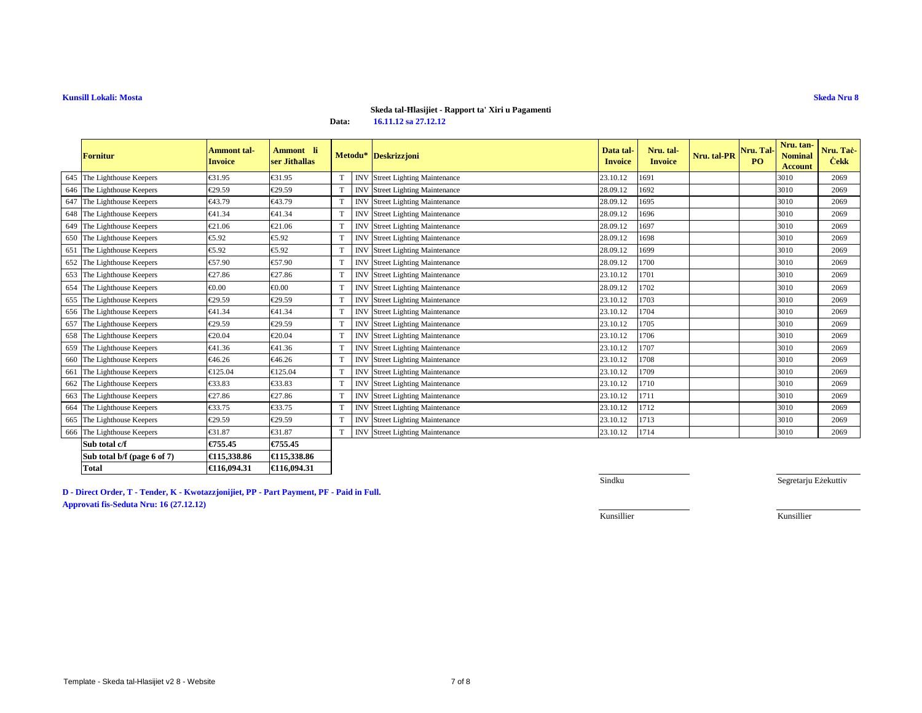#### **Skeda tal-Ħlasijiet - Rapport ta' Xiri u Pagamenti**

**Data:16.11.12 sa 27.12.12**

|     | <b>Fornitur</b>             | <b>Ammont</b> tal-<br><b>Invoice</b> | Ammont li<br>ser Jithallas |   |            | Metodu* Deskrizzjoni               | Data tal-<br><b>Invoice</b> | Nru. tal-<br><b>Invoice</b> | Nru. tal-PR | Nru. Tal-<br><b>PO</b> | Nru. tan-<br><b>Nominal</b><br><b>Account</b> | Nru. Taċ-<br><b>Cekk</b> |
|-----|-----------------------------|--------------------------------------|----------------------------|---|------------|------------------------------------|-----------------------------|-----------------------------|-------------|------------------------|-----------------------------------------------|--------------------------|
|     | 645 The Lighthouse Keepers  | €31.95                               | €31.95                     | T | <b>INV</b> | <b>Street Ligting Maintenance</b>  | 23.10.12                    | 1691                        |             |                        | 3010                                          | 2069                     |
|     | 646 The Lighthouse Keepers  | €29.59                               | €29.59                     | T | <b>INV</b> | <b>Street Ligting Maintenance</b>  | 28.09.12                    | 1692                        |             |                        | 3010                                          | 2069                     |
|     | 647 The Lighthouse Keepers  | €43.79                               | €43.79                     | T | <b>INV</b> | <b>Street Ligting Maintenance</b>  | 28.09.12                    | 1695                        |             |                        | 3010                                          | 2069                     |
|     | 648 The Lighthouse Keepers  | €41.34                               | €41.34                     | T | <b>INV</b> | <b>Street Ligting Maintenance</b>  | 28.09.12                    | 1696                        |             |                        | 3010                                          | 2069                     |
|     | 649 The Lighthouse Keepers  | €21.06                               | €21.06                     | T | <b>INV</b> | <b>Street Ligting Maintenance</b>  | 28.09.12                    | 1697                        |             |                        | 3010                                          | 2069                     |
|     | 650 The Lighthouse Keepers  | €5.92                                | €5.92                      | T | <b>INV</b> | <b>Street Lightng Maintenance</b>  | 28.09.12                    | 1698                        |             |                        | 3010                                          | 2069                     |
|     | 651 The Lighthouse Keepers  | €5.92                                | €5.92                      | T | <b>INV</b> | <b>Street Lightng Maintenance</b>  | 28.09.12                    | 1699                        |             |                        | 3010                                          | 2069                     |
|     | 652 The Lighthouse Keepers  | €57.90                               | €57.90                     | T | <b>INV</b> | <b>Street Ligting Maintenance</b>  | 28.09.12                    | 1700                        |             |                        | 3010                                          | 2069                     |
|     | 653 The Lighthouse Keepers  | €27.86                               | €27.86                     | T | <b>INV</b> | <b>Street Ligting Maintenance</b>  | 23.10.12                    | 1701                        |             |                        | 3010                                          | 2069                     |
|     | 654 The Lighthouse Keepers  | € $0.00$                             | $\epsilon 0.00$            | T | <b>INV</b> | <b>Street Lighting Maintenance</b> | 28.09.12                    | 1702                        |             |                        | 3010                                          | 2069                     |
|     | 655 The Lighthouse Keepers  | €29.59                               | €29.59                     | T | <b>INV</b> | <b>Street Ligting Maintenance</b>  | 23.10.12                    | 1703                        |             |                        | 3010                                          | 2069                     |
|     | 656 The Lighthouse Keepers  | €41.34                               | €41.34                     | T | <b>INV</b> | <b>Street Ligting Maintenance</b>  | 23.10.12                    | 1704                        |             |                        | 3010                                          | 2069                     |
|     | 657 The Lighthouse Keepers  | €29.59                               | €29.59                     | T | <b>INV</b> | <b>Street Ligting Maintenance</b>  | 23.10.12                    | 1705                        |             |                        | 3010                                          | 2069                     |
|     | 658 The Lighthouse Keepers  | €20.04                               | €20.04                     | T | <b>INV</b> | <b>Street Ligting Maintenance</b>  | 23.10.12                    | 1706                        |             |                        | 3010                                          | 2069                     |
|     | 659 The Lighthouse Keepers  | €41.36                               | €41.36                     | T | <b>INV</b> | <b>Street Ligting Maintenance</b>  | 23.10.12                    | 1707                        |             |                        | 3010                                          | 2069                     |
|     | 660 The Lighthouse Keepers  | €46.26                               | €46.26                     | T | <b>INV</b> | <b>Street Ligting Maintenance</b>  | 23.10.12                    | 1708                        |             |                        | 3010                                          | 2069                     |
| 661 | The Lighthouse Keepers      | €125.04                              | €125.04                    | T | <b>INV</b> | <b>Street lighting Maintenance</b> | 23.10.12                    | 1709                        |             |                        | 3010                                          | 2069                     |
|     | 662 The Lighthouse Keepers  | €33.83                               | €33.83                     | T | <b>INV</b> | <b>Street Ligting Maintenance</b>  | 23.10.12                    | 1710                        |             |                        | 3010                                          | 2069                     |
|     | 663 The Lighthouse Keepers  | €27.86                               | €27.86                     | T | <b>INV</b> | <b>Street Linting Maintenance</b>  | 23.10.12                    | 1711                        |             |                        | 3010                                          | 2069                     |
|     | 664 The Lighthouse Keepers  | €33.75                               | €33.75                     | T | <b>INV</b> | <b>Street Ligting Maintenance</b>  | 23.10.12                    | 1712                        |             |                        | 3010                                          | 2069                     |
|     | 665 The Lighthouse Keepers  | €29.59                               | €29.59                     | T | <b>INV</b> | <b>Street Ligting Maintenance</b>  | 23.10.12                    | 1713                        |             |                        | 3010                                          | 2069                     |
|     | 666 The Lighthouse Keepers  | €31.87                               | €31.87                     | T | <b>INV</b> | <b>Street Ligting Maintenance</b>  | 23.10.12                    | 1714                        |             |                        | 3010                                          | 2069                     |
|     | Sub total c/f               | €755.45                              | €755.45                    |   |            |                                    |                             |                             |             |                        |                                               |                          |
|     | Sub total b/f (page 6 of 7) | €115,338.86                          | €115,338.86                |   |            |                                    |                             |                             |             |                        |                                               |                          |
|     | <b>Total</b>                | €116.094.31                          | €116,094.31                |   |            |                                    |                             |                             |             |                        |                                               |                          |

**D - Direct Order, T - Tender, K - Kwotazzjonijiet, PP - Part Payment, PF - Paid in Full.Approvati fis-Seduta Nru: 16 (27.12.12)**

Sindku

Segretarju Eżekuttiv

Kunsillier

Kunsillier